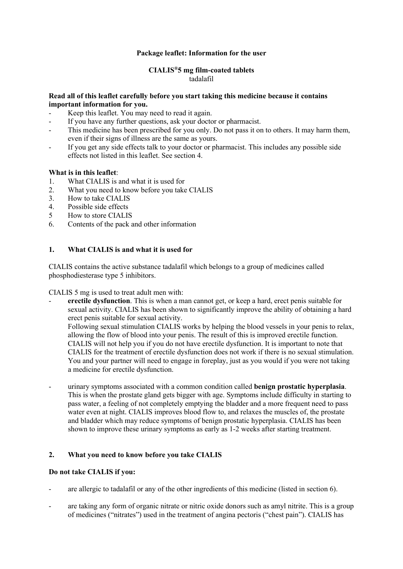## **Package leaflet: Information for the user**

#### **CIALIS®5 mg film-coated tablets** tadalafil

## **Read all of this leaflet carefully before you start taking this medicine because it contains important information for you.**

- Keep this leaflet. You may need to read it again.
- If you have any further questions, ask your doctor or pharmacist.
- This medicine has been prescribed for you only. Do not pass it on to others. It may harm them, even if their signs of illness are the same as yours.
- If you get any side effects talk to your doctor or pharmacist. This includes any possible side effects not listed in this leaflet. See section 4.

## **What is in this leaflet**:

- 1. What CIALIS is and what it is used for
- 2. What you need to know before you take CIALIS<br>3 How to take CIALIS
- 3. How to take CIALIS
- 4. Possible side effects
- 5 How to store CIALIS
- 6. Contents of the pack and other information

## **1. What CIALIS is and what it is used for**

CIALIS contains the active substance tadalafil which belongs to a group of medicines called phosphodiesterase type 5 inhibitors.

CIALIS 5 mg is used to treat adult men with:

- **erectile dysfunction**. This is when a man cannot get, or keep a hard, erect penis suitable for sexual activity. CIALIS has been shown to significantly improve the ability of obtaining a hard erect penis suitable for sexual activity.

Following sexual stimulation CIALIS works by helping the blood vessels in your penis to relax, allowing the flow of blood into your penis. The result of this is improved erectile function. CIALIS will not help you if you do not have erectile dysfunction. It is important to note that CIALIS for the treatment of erectile dysfunction does not work if there is no sexual stimulation. You and your partner will need to engage in foreplay, just as you would if you were not taking a medicine for erectile dysfunction.

- urinary symptoms associated with a common condition called **benign prostatic hyperplasia**. This is when the prostate gland gets bigger with age. Symptoms include difficulty in starting to pass water, a feeling of not completely emptying the bladder and a more frequent need to pass water even at night. CIALIS improves blood flow to, and relaxes the muscles of, the prostate and bladder which may reduce symptoms of benign prostatic hyperplasia. CIALIS has been shown to improve these urinary symptoms as early as 1-2 weeks after starting treatment.

# **2. What you need to know before you take CIALIS**

### **Do not take CIALIS if you:**

- are allergic to tadalafil or any of the other ingredients of this medicine (listed in section 6).
- are taking any form of organic nitrate or nitric oxide donors such as amyl nitrite. This is a group of medicines ("nitrates") used in the treatment of angina pectoris ("chest pain"). CIALIS has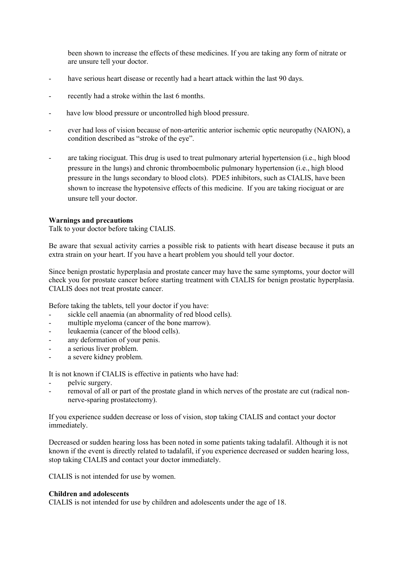been shown to increase the effects of these medicines. If you are taking any form of nitrate or are unsure tell your doctor.

- have serious heart disease or recently had a heart attack within the last 90 days.
- recently had a stroke within the last 6 months.
- have low blood pressure or uncontrolled high blood pressure.
- ever had loss of vision because of non-arteritic anterior ischemic optic neuropathy (NAION), a condition described as "stroke of the eye".
- are taking riociguat. This drug is used to treat pulmonary arterial hypertension (i.e., high blood pressure in the lungs) and chronic thromboembolic pulmonary hypertension (i.e., high blood pressure in the lungs secondary to blood clots). PDE5 inhibitors, such as CIALIS, have been shown to increase the hypotensive effects of this medicine. If you are taking riociguat or are unsure tell your doctor.

### **Warnings and precautions**

Talk to your doctor before taking CIALIS.

Be aware that sexual activity carries a possible risk to patients with heart disease because it puts an extra strain on your heart. If you have a heart problem you should tell your doctor.

Since benign prostatic hyperplasia and prostate cancer may have the same symptoms, your doctor will check you for prostate cancer before starting treatment with CIALIS for benign prostatic hyperplasia. CIALIS does not treat prostate cancer.

Before taking the tablets, tell your doctor if you have:

- sickle cell anaemia (an abnormality of red blood cells).
- multiple myeloma (cancer of the bone marrow).
- leukaemia (cancer of the blood cells).
- any deformation of your penis.
- a serious liver problem.
- a severe kidney problem.

It is not known if CIALIS is effective in patients who have had:

- pelvic surgery.
- removal of all or part of the prostate gland in which nerves of the prostate are cut (radical nonnerve-sparing prostatectomy).

If you experience sudden decrease or loss of vision, stop taking CIALIS and contact your doctor immediately.

Decreased or sudden hearing loss has been noted in some patients taking tadalafil. Although it is not known if the event is directly related to tadalafil, if you experience decreased or sudden hearing loss, stop taking CIALIS and contact your doctor immediately.

CIALIS is not intended for use by women.

### **Children and adolescents**

CIALIS is not intended for use by children and adolescents under the age of 18.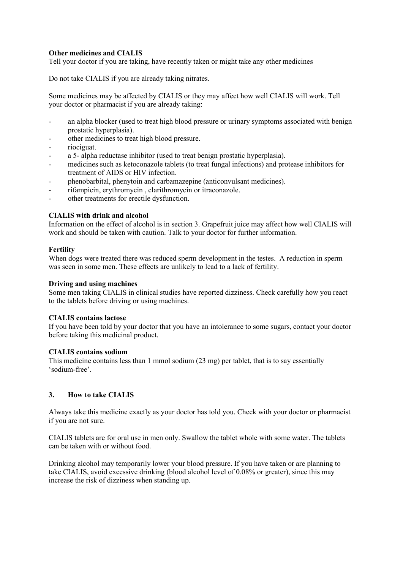## **Other medicines and CIALIS**

Tell your doctor if you are taking, have recently taken or might take any other medicines

Do not take CIALIS if you are already taking nitrates.

Some medicines may be affected by CIALIS or they may affect how well CIALIS will work. Tell your doctor or pharmacist if you are already taking:

- an alpha blocker (used to treat high blood pressure or urinary symptoms associated with benign prostatic hyperplasia).
- other medicines to treat high blood pressure.
- riociguat.
- a 5- alpha reductase inhibitor (used to treat benign prostatic hyperplasia).
- medicines such as ketoconazole tablets (to treat fungal infections) and protease inhibitors for treatment of AIDS or HIV infection.
- phenobarbital, phenytoin and carbamazepine (anticonvulsant medicines).
- rifampicin, erythromycin, clarithromycin or itraconazole.
- other treatments for erectile dysfunction.

#### **CIALIS with drink and alcohol**

Information on the effect of alcohol is in section 3. Grapefruit juice may affect how well CIALIS will work and should be taken with caution. Talk to your doctor for further information.

#### **Fertility**

When dogs were treated there was reduced sperm development in the testes. A reduction in sperm was seen in some men. These effects are unlikely to lead to a lack of fertility.

#### **Driving and using machines**

Some men taking CIALIS in clinical studies have reported dizziness. Check carefully how you react to the tablets before driving or using machines.

### **CIALIS contains lactose**

If you have been told by your doctor that you have an intolerance to some sugars, contact your doctor before taking this medicinal product.

#### **CIALIS contains sodium**

This medicine contains less than 1 mmol sodium (23 mg) per tablet, that is to say essentially 'sodium-free'.

### **3. How to take CIALIS**

Always take this medicine exactly as your doctor has told you. Check with your doctor or pharmacist if you are not sure.

CIALIS tablets are for oral use in men only. Swallow the tablet whole with some water. The tablets can be taken with or without food.

Drinking alcohol may temporarily lower your blood pressure. If you have taken or are planning to take CIALIS, avoid excessive drinking (blood alcohol level of 0.08% or greater), since this may increase the risk of dizziness when standing up.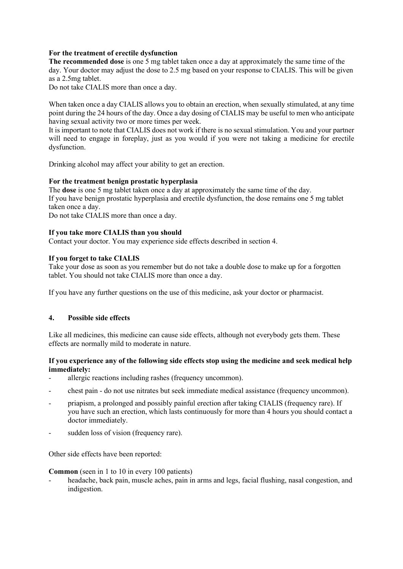## **For the treatment of erectile dysfunction**

**The recommended dose** is one 5 mg tablet taken once a day at approximately the same time of the day. Your doctor may adjust the dose to 2.5 mg based on your response to CIALIS. This will be given as a 2.5mg tablet.

Do not take CIALIS more than once a day.

When taken once a day CIALIS allows you to obtain an erection, when sexually stimulated, at any time point during the 24 hours of the day. Once a day dosing of CIALIS may be useful to men who anticipate having sexual activity two or more times per week.

It is important to note that CIALIS does not work if there is no sexual stimulation. You and your partner will need to engage in foreplay, just as you would if you were not taking a medicine for erectile dysfunction.

Drinking alcohol may affect your ability to get an erection.

## **For the treatment benign prostatic hyperplasia**

The **dose** is one 5 mg tablet taken once a day at approximately the same time of the day. If you have benign prostatic hyperplasia and erectile dysfunction, the dose remains one 5 mg tablet taken once a day.

Do not take CIALIS more than once a day.

## **If you take more CIALIS than you should**

Contact your doctor. You may experience side effects described in section 4.

## **If you forget to take CIALIS**

Take your dose as soon as you remember but do not take a double dose to make up for a forgotten tablet. You should not take CIALIS more than once a day.

If you have any further questions on the use of this medicine, ask your doctor or pharmacist.

## **4. Possible side effects**

Like all medicines, this medicine can cause side effects, although not everybody gets them. These effects are normally mild to moderate in nature.

## **If you experience any of the following side effects stop using the medicine and seek medical help immediately:**

- allergic reactions including rashes (frequency uncommon).
- chest pain do not use nitrates but seek immediate medical assistance (frequency uncommon).
- priapism, a prolonged and possibly painful erection after taking CIALIS (frequency rare). If you have such an erection, which lasts continuously for more than 4 hours you should contact a doctor immediately.
- sudden loss of vision (frequency rare).

Other side effects have been reported:

**Common** (seen in 1 to 10 in every 100 patients)

headache, back pain, muscle aches, pain in arms and legs, facial flushing, nasal congestion, and indigestion.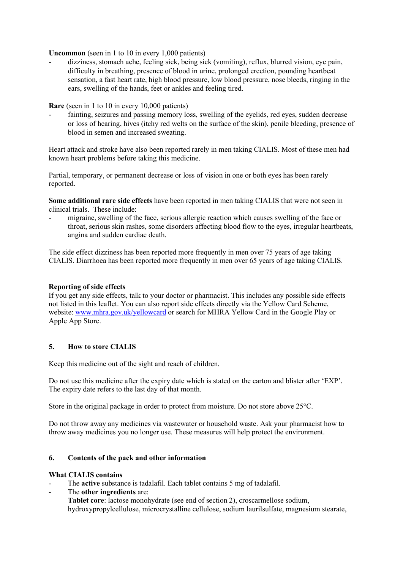**Uncommon** (seen in 1 to 10 in every 1,000 patients)

- dizziness, stomach ache, feeling sick, being sick (vomiting), reflux, blurred vision, eye pain, difficulty in breathing, presence of blood in urine, prolonged erection, pounding heartbeat sensation, a fast heart rate, high blood pressure, low blood pressure, nose bleeds, ringing in the ears, swelling of the hands, feet or ankles and feeling tired.

**Rare** (seen in 1 to 10 in every 10,000 patients)

fainting, seizures and passing memory loss, swelling of the eyelids, red eyes, sudden decrease or loss of hearing, hives (itchy red welts on the surface of the skin), penile bleeding, presence of blood in semen and increased sweating.

Heart attack and stroke have also been reported rarely in men taking CIALIS. Most of these men had known heart problems before taking this medicine.

Partial, temporary, or permanent decrease or loss of vision in one or both eyes has been rarely reported.

**Some additional rare side effects** have been reported in men taking CIALIS that were not seen in clinical trials. These include:

migraine, swelling of the face, serious allergic reaction which causes swelling of the face or throat, serious skin rashes, some disorders affecting blood flow to the eyes, irregular heartbeats, angina and sudden cardiac death.

The side effect dizziness has been reported more frequently in men over 75 years of age taking CIALIS. Diarrhoea has been reported more frequently in men over 65 years of age taking CIALIS.

## **Reporting of side effects**

If you get any side effects, talk to your doctor or pharmacist. This includes any possible side effects not listed in this leaflet. You can also report side effects directly via the Yellow Card Scheme, website: [www.mhra.gov.uk/yellowcard](http://www.mhra.gov.uk/yellowcard) or search for MHRA Yellow Card in the Google Play or Apple App Store.

# **5. How to store CIALIS**

Keep this medicine out of the sight and reach of children.

Do not use this medicine after the expiry date which is stated on the carton and blister after 'EXP'. The expiry date refers to the last day of that month.

Store in the original package in order to protect from moisture. Do not store above 25°C.

Do not throw away any medicines via wastewater or household waste. Ask your pharmacist how to throw away medicines you no longer use. These measures will help protect the environment.

# **6. Contents of the pack and other information**

### **What CIALIS contains**

- The **active** substance is tadalafil. Each tablet contains 5 mg of tadalafil.
- The **other ingredients** are:
	- **Tablet core**: lactose monohydrate (see end of section 2), croscarmellose sodium, hydroxypropylcellulose, microcrystalline cellulose, sodium laurilsulfate, magnesium stearate,